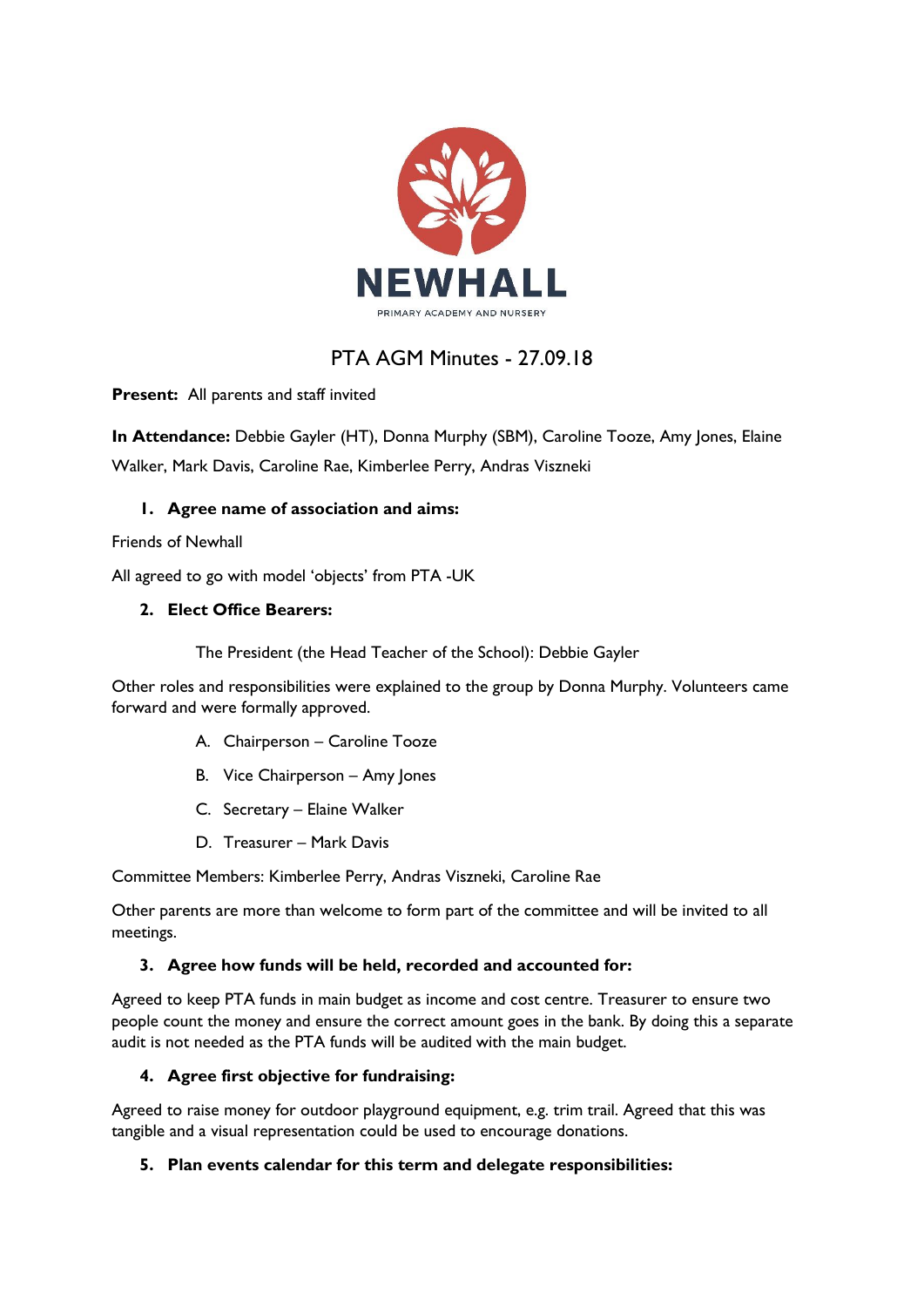

# PTA AGM Minutes - 27.09.18

**Present:** All parents and staff invited

**In Attendance:** Debbie Gayler (HT), Donna Murphy (SBM), Caroline Tooze, Amy Jones, Elaine Walker, Mark Davis, Caroline Rae, Kimberlee Perry, Andras Viszneki

## **1. Agree name of association and aims:**

Friends of Newhall

All agreed to go with model 'objects' from PTA -UK

### **2. Elect Office Bearers:**

The President (the Head Teacher of the School): Debbie Gayler

Other roles and responsibilities were explained to the group by Donna Murphy. Volunteers came forward and were formally approved.

- A. Chairperson Caroline Tooze
- B. Vice Chairperson Amy Jones
- C. Secretary Elaine Walker
- D. Treasurer Mark Davis

Committee Members: Kimberlee Perry, Andras Viszneki, Caroline Rae

Other parents are more than welcome to form part of the committee and will be invited to all meetings.

### **3. Agree how funds will be held, recorded and accounted for:**

Agreed to keep PTA funds in main budget as income and cost centre. Treasurer to ensure two people count the money and ensure the correct amount goes in the bank. By doing this a separate audit is not needed as the PTA funds will be audited with the main budget.

### **4. Agree first objective for fundraising:**

Agreed to raise money for outdoor playground equipment, e.g. trim trail. Agreed that this was tangible and a visual representation could be used to encourage donations.

### **5. Plan events calendar for this term and delegate responsibilities:**